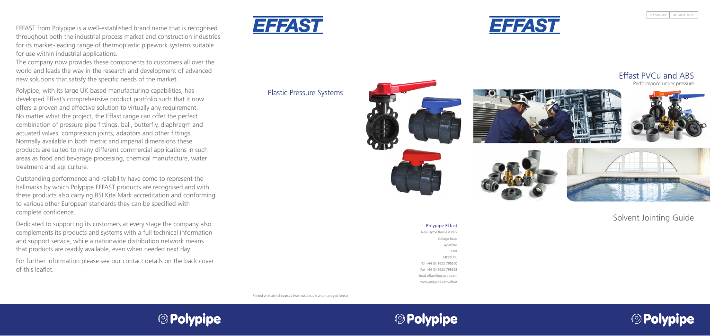Plastic Pressure Systems



Printed on material sourced from sustainable and managed forests



# **© Polypipe**

#### Polypipe Effast

New Hythe Business Park College Road Aylesford Kent ME20 7PJ Tel +44 (0) 1622 795200 Fax +44 (0) 1622 795263 Email effast@polypipe.com www.polypipe.com/effast

# Solvent Jointing Guide





EFFAST from Polypipe is a well-established brand name that is recognised throughout both the industrial process market and construction industries for its market-leading range of thermoplastic pipework systems suitable for use within industrial applications.

The company now provides these components to customers all over the world and leads the way in the research and development of advanced new solutions that satisfy the specific needs of the market.

Polypipe, with its large UK based manufacturing capabilities, has developed Effast's comprehensive product portfolio such that it now offers a proven and effective solution to virtually any requirement. No matter what the project, the Effast range can offer the perfect combination of pressure pipe fittings, ball, butterfly, diaphragm and actuated valves, compression joints, adaptors and other fittings. Normally available in both metric and imperial dimensions these products are suited to many different commercial applications in such areas as food and beverage processing, chemical manufacture, water treatment and agriculture.

Outstanding performance and reliability have come to represent the hallmarks by which Polypipe EFFAST products are recognised and with these products also carrying BSI Kite Mark accreditation and conforming to various other European standards they can be specified with complete confidence.

Dedicated to supporting its customers at every stage the company also complements its products and systems with a full technical information and support service, while a nationwide distribution network means that products are readily available, even when needed next day.

For further information please see our contact details on the back cover of this leaflet.





# Effast PVCu and ABS

Performance under pressure